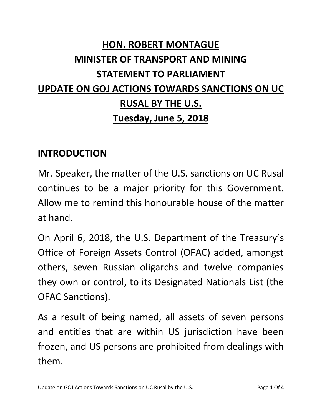# **HON. ROBERT MONTAGUE MINISTER OF TRANSPORT AND MINING STATEMENT TO PARLIAMENT UPDATE ON GOJ ACTIONS TOWARDS SANCTIONS ON UC RUSAL BY THE U.S. Tuesday, June 5, 2018**

#### **INTRODUCTION**

Mr. Speaker, the matter of the U.S. sanctions on UC Rusal continues to be a major priority for this Government. Allow me to remind this honourable house of the matter at hand.

On April 6, 2018, the U.S. Department of the Treasury's Office of Foreign Assets Control (OFAC) added, amongst others, seven Russian oligarchs and twelve companies they own or control, to its Designated Nationals List (the OFAC Sanctions).

As a result of being named, all assets of seven persons and entities that are within US jurisdiction have been frozen, and US persons are prohibited from dealings with them.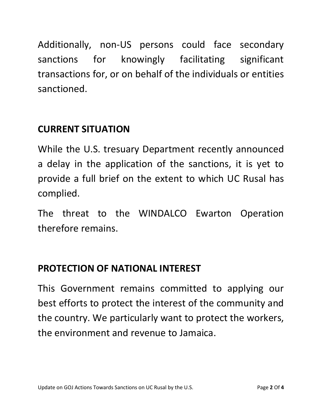Additionally, non-US persons could face secondary sanctions for knowingly facilitating significant transactions for, or on behalf of the individuals or entities sanctioned.

# **CURRENT SITUATION**

While the U.S. tresuary Department recently announced a delay in the application of the sanctions, it is yet to provide a full brief on the extent to which UC Rusal has complied.

The threat to the WINDALCO Ewarton Operation therefore remains.

## **PROTECTION OF NATIONAL INTEREST**

This Government remains committed to applying our best efforts to protect the interest of the community and the country. We particularly want to protect the workers, the environment and revenue to Jamaica.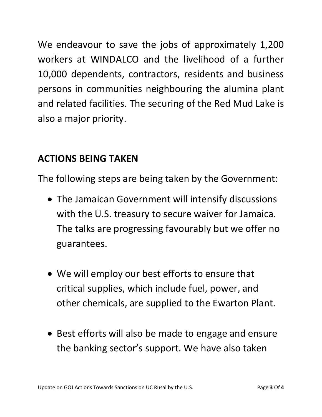We endeavour to save the jobs of approximately 1,200 workers at WINDALCO and the livelihood of a further 10,000 dependents, contractors, residents and business persons in communities neighbouring the alumina plant and related facilities. The securing of the Red Mud Lake is also a major priority.

#### **ACTIONS BEING TAKEN**

The following steps are being taken by the Government:

- The Jamaican Government will intensify discussions with the U.S. treasury to secure waiver for Jamaica. The talks are progressing favourably but we offer no guarantees.
- We will employ our best efforts to ensure that critical supplies, which include fuel, power, and other chemicals, are supplied to the Ewarton Plant.
- Best efforts will also be made to engage and ensure the banking sector's support. We have also taken